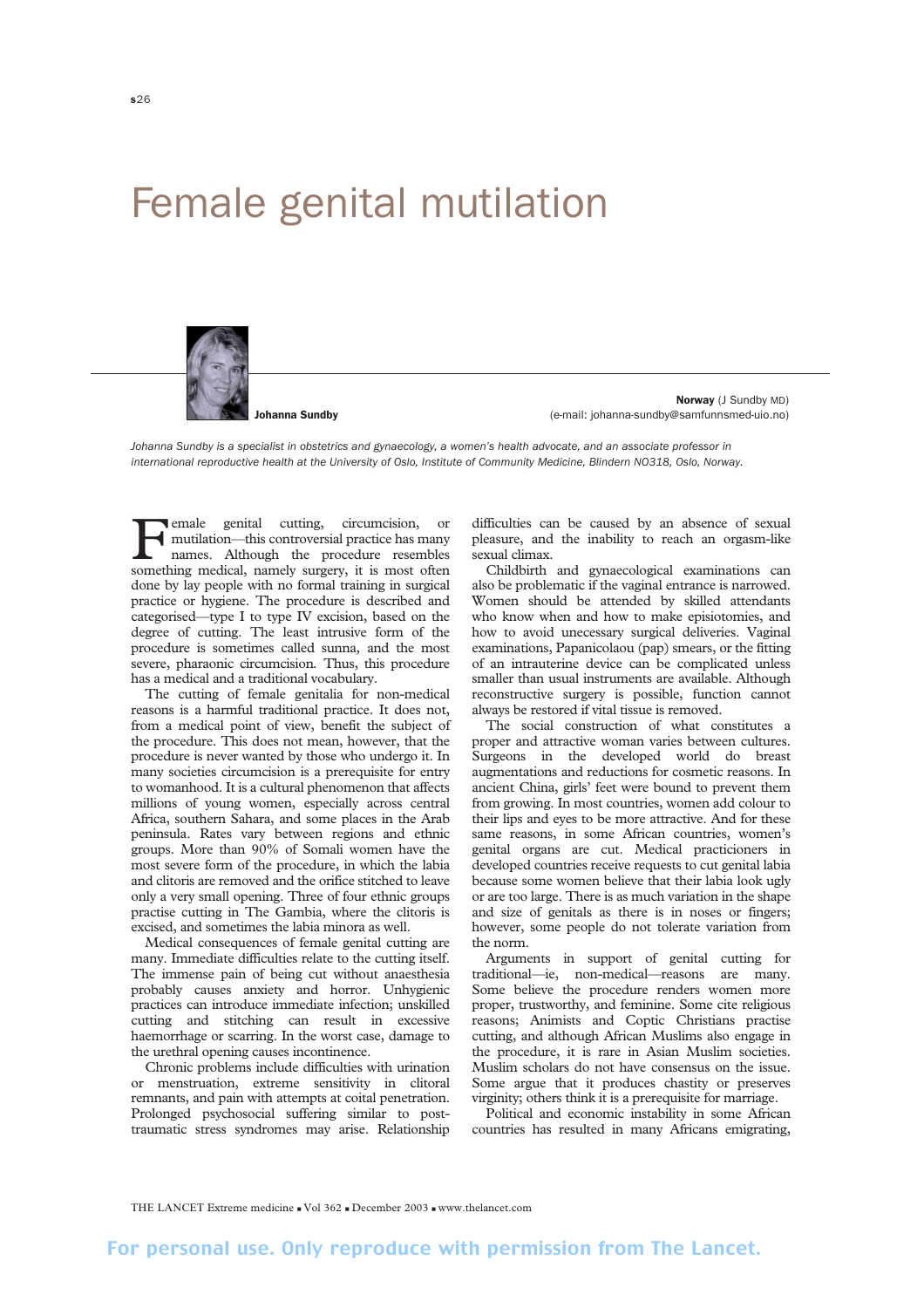## Female genital mutilation



Johanna Sundby

Norway (J Sundby MD) (e-mail: johanna-sundby@samfunnsmed-uio.no)

*Johanna Sundby is a specialist in obstetrics and gynaecology, a women's health advocate, and an associate professor in international reproductive health at the University of Oslo, Institute of Community Medicine, Blindern NO318, Oslo, Norway.*

Female genital cutting, circumcision, or<br>mutilation—this controversial practice has many<br>names. Although the procedure resembles<br>something medical namely surgery it is most often mutilation—this controversial practice has many something medical, namely surgery, it is most often done by lay people with no formal training in surgical practice or hygiene. The procedure is described and categorised—type I to type IV excision, based on the degree of cutting. The least intrusive form of the procedure is sometimes called sunna*,* and the most severe, pharaonic circumcision*.* Thus, this procedure has a medical and a traditional vocabulary.

The cutting of female genitalia for non-medical reasons is a harmful traditional practice. It does not, from a medical point of view, benefit the subject of the procedure. This does not mean, however, that the procedure is never wanted by those who undergo it. In many societies circumcision is a prerequisite for entry to womanhood. It is a cultural phenomenon that affects millions of young women, especially across central Africa, southern Sahara, and some places in the Arab peninsula. Rates vary between regions and ethnic groups. More than 90% of Somali women have the most severe form of the procedure, in which the labia and clitoris are removed and the orifice stitched to leave only a very small opening. Three of four ethnic groups practise cutting in The Gambia, where the clitoris is excised, and sometimes the labia minora as well.

Medical consequences of female genital cutting are many. Immediate difficulties relate to the cutting itself. The immense pain of being cut without anaesthesia probably causes anxiety and horror. Unhygienic practices can introduce immediate infection; unskilled cutting and stitching can result in excessive haemorrhage or scarring. In the worst case, damage to the urethral opening causes incontinence.

Chronic problems include difficulties with urination or menstruation, extreme sensitivity in clitoral remnants, and pain with attempts at coital penetration. Prolonged psychosocial suffering similar to posttraumatic stress syndromes may arise. Relationship

difficulties can be caused by an absence of sexual pleasure, and the inability to reach an orgasm-like sexual climax.

Childbirth and gynaecological examinations can also be problematic if the vaginal entrance is narrowed. Women should be attended by skilled attendants who know when and how to make episiotomies, and how to avoid unecessary surgical deliveries. Vaginal examinations, Papanicolaou (pap) smears, or the fitting of an intrauterine device can be complicated unless smaller than usual instruments are available. Although reconstructive surgery is possible, function cannot always be restored if vital tissue is removed.

The social construction of what constitutes a proper and attractive woman varies between cultures. Surgeons in the developed world do breast augmentations and reductions for cosmetic reasons. In ancient China, girls' feet were bound to prevent them from growing. In most countries, women add colour to their lips and eyes to be more attractive. And for these same reasons, in some African countries, women's genital organs are cut. Medical practicioners in developed countries receive requests to cut genital labia because some women believe that their labia look ugly or are too large. There is as much variation in the shape and size of genitals as there is in noses or fingers; however, some people do not tolerate variation from the norm.

Arguments in support of genital cutting for traditional—ie, non-medical—reasons are many. Some believe the procedure renders women more proper, trustworthy, and feminine. Some cite religious reasons; Animists and Coptic Christians practise cutting, and although African Muslims also engage in the procedure, it is rare in Asian Muslim societies. Muslim scholars do not have consensus on the issue. Some argue that it produces chastity or preserves virginity; others think it is a prerequisite for marriage.

Political and economic instability in some African countries has resulted in many Africans emigrating,